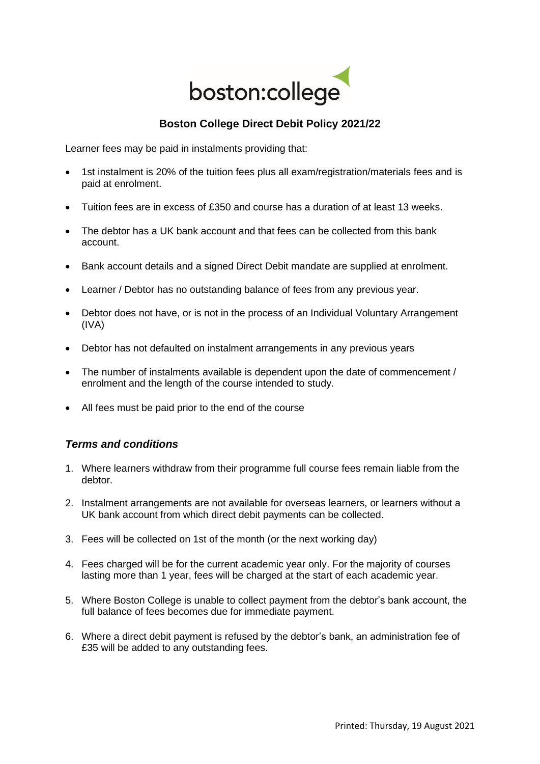

## **Boston College Direct Debit Policy 2021/22**

Learner fees may be paid in instalments providing that:

- 1st instalment is 20% of the tuition fees plus all exam/registration/materials fees and is paid at enrolment.
- Tuition fees are in excess of £350 and course has a duration of at least 13 weeks.
- The debtor has a UK bank account and that fees can be collected from this bank account.
- Bank account details and a signed Direct Debit mandate are supplied at enrolment.
- Learner / Debtor has no outstanding balance of fees from any previous year.
- Debtor does not have, or is not in the process of an Individual Voluntary Arrangement (IVA)
- Debtor has not defaulted on instalment arrangements in any previous years
- The number of instalments available is dependent upon the date of commencement / enrolment and the length of the course intended to study.
- All fees must be paid prior to the end of the course

## *Terms and conditions*

- 1. Where learners withdraw from their programme full course fees remain liable from the debtor.
- 2. Instalment arrangements are not available for overseas learners, or learners without a UK bank account from which direct debit payments can be collected.
- 3. Fees will be collected on 1st of the month (or the next working day)
- 4. Fees charged will be for the current academic year only. For the majority of courses lasting more than 1 year, fees will be charged at the start of each academic year.
- 5. Where Boston College is unable to collect payment from the debtor's bank account, the full balance of fees becomes due for immediate payment.
- 6. Where a direct debit payment is refused by the debtor's bank, an administration fee of £35 will be added to any outstanding fees.